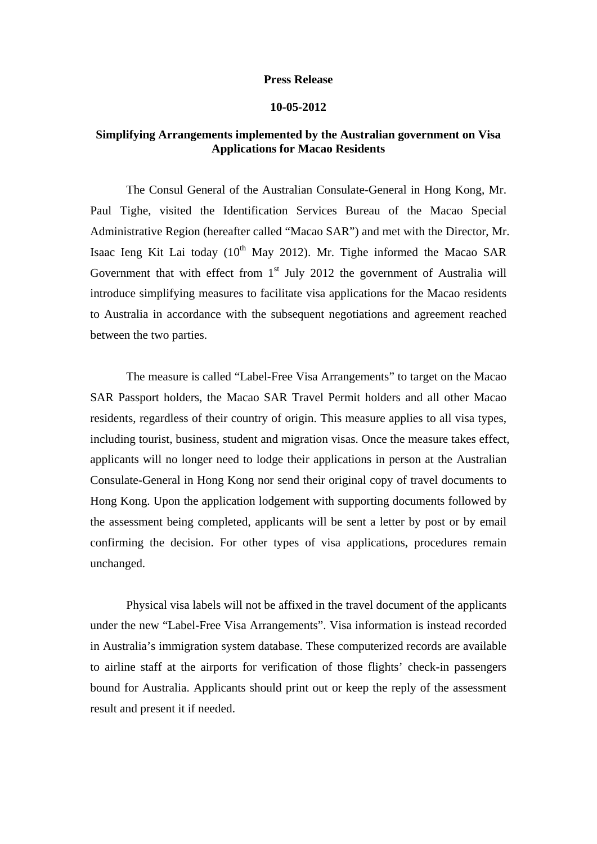## **Press Release**

## **10-05-2012**

## **Simplifying Arrangements implemented by the Australian government on Visa Applications for Macao Residents**

The Consul General of the Australian Consulate-General in Hong Kong, Mr. Paul Tighe, visited the Identification Services Bureau of the Macao Special Administrative Region (hereafter called "Macao SAR") and met with the Director, Mr. Isaac Ieng Kit Lai today  $(10^{th}$  May 2012). Mr. Tighe informed the Macao SAR Government that with effect from  $1<sup>st</sup>$  July 2012 the government of Australia will introduce simplifying measures to facilitate visa applications for the Macao residents to Australia in accordance with the subsequent negotiations and agreement reached between the two parties.

The measure is called "Label-Free Visa Arrangements" to target on the Macao SAR Passport holders, the Macao SAR Travel Permit holders and all other Macao residents, regardless of their country of origin. This measure applies to all visa types, including tourist, business, student and migration visas. Once the measure takes effect, applicants will no longer need to lodge their applications in person at the Australian Consulate-General in Hong Kong nor send their original copy of travel documents to Hong Kong. Upon the application lodgement with supporting documents followed by the assessment being completed, applicants will be sent a letter by post or by email confirming the decision. For other types of visa applications, procedures remain unchanged.

Physical visa labels will not be affixed in the travel document of the applicants under the new "Label-Free Visa Arrangements". Visa information is instead recorded in Australia's immigration system database. These computerized records are available to airline staff at the airports for verification of those flights' check-in passengers bound for Australia. Applicants should print out or keep the reply of the assessment result and present it if needed.